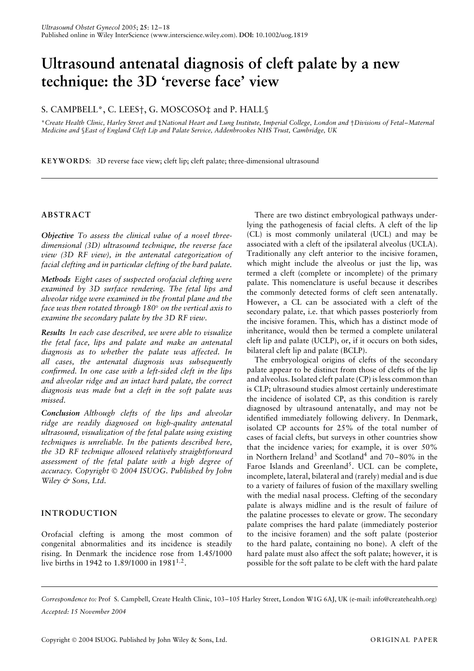# **Ultrasound antenatal diagnosis of cleft palate by a new technique: the 3D 'reverse face' view**

## S. CAMPBELL\*, C. LEES†, G. MOSCOSO‡ and P. HALL§

\**Create Health Clinic, Harley Street and* ‡*National Heart and Lung Institute, Imperial College, London and* †*Divisions of Fetal–Maternal Medicine and* §*East of England Cleft Lip and Palate Service, Addenbrookes NHS Trust, Cambridge, UK*

**KEYWORDS**: 3D reverse face view; cleft lip; cleft palate; three-dimensional ultrasound

#### **ABSTRACT**

*Objective To assess the clinical value of a novel threedimensional (3D) ultrasound technique, the reverse face view (3D RF view), in the antenatal categorization of facial clefting and in particular clefting of the hard palate.*

*Methods Eight cases of suspected orofacial clefting were examined by 3D surface rendering. The fetal lips and alveolar ridge were examined in the frontal plane and the face was then rotated through 180*◦ *on the vertical axis to examine the secondary palate by the 3D RF view.*

*Results In each case described, we were able to visualize the fetal face, lips and palate and make an antenatal diagnosis as to whether the palate was affected. In all cases, the antenatal diagnosis was subsequently confirmed. In one case with a left-sided cleft in the lips and alveolar ridge and an intact hard palate, the correct diagnosis was made but a cleft in the soft palate was missed.*

*Conclusion Although clefts of the lips and alveolar ridge are readily diagnosed on high-quality antenatal ultrasound, visualization of the fetal palate using existing techniques is unreliable. In the patients described here, the 3D RF technique allowed relatively straightforward assessment of the fetal palate with a high degree of accuracy. Copyright 2004 ISUOG. Published by John Wiley & Sons, Ltd.*

### **INTRODUCTION**

Orofacial clefting is among the most common of congenital abnormalities and its incidence is steadily rising. In Denmark the incidence rose from 1.45/1000 live births in 1942 to 1.89/1000 in 19811*,*2.

There are two distinct embryological pathways underlying the pathogenesis of facial clefts. A cleft of the lip (CL) is most commonly unilateral (UCL) and may be associated with a cleft of the ipsilateral alveolus (UCLA). Traditionally any cleft anterior to the incisive foramen, which might include the alveolus or just the lip, was termed a cleft (complete or incomplete) of the primary palate. This nomenclature is useful because it describes the commonly detected forms of cleft seen antenatally. However, a CL can be associated with a cleft of the secondary palate, i.e. that which passes posteriorly from the incisive foramen. This, which has a distinct mode of inheritance, would then be termed a complete unilateral cleft lip and palate (UCLP), or, if it occurs on both sides, bilateral cleft lip and palate (BCLP).

The embryological origins of clefts of the secondary palate appear to be distinct from those of clefts of the lip and alveolus. Isolated cleft palate (CP) is less common than is CLP; ultrasound studies almost certainly underestimate the incidence of isolated CP, as this condition is rarely diagnosed by ultrasound antenatally, and may not be identified immediately following delivery. In Denmark, isolated CP accounts for 25% of the total number of cases of facial clefts, but surveys in other countries show that the incidence varies; for example, it is over 50% in Northern Ireland<sup>3</sup> and Scotland<sup>4</sup> and 70–80% in the Faroe Islands and Greenland<sup>5</sup>. UCL can be complete, incomplete, lateral, bilateral and (rarely) medial and is due to a variety of failures of fusion of the maxillary swelling with the medial nasal process. Clefting of the secondary palate is always midline and is the result of failure of the palatine processes to elevate or grow. The secondary palate comprises the hard palate (immediately posterior to the incisive foramen) and the soft palate (posterior to the hard palate, containing no bone). A cleft of the hard palate must also affect the soft palate; however, it is possible for the soft palate to be cleft with the hard palate

*Correspondence to:* Prof S. Campbell, Create Health Clinic, 103–105 Harley Street, London W1G 6AJ, UK (e-mail: info@createhealth.org) *Accepted: 15 November 2004*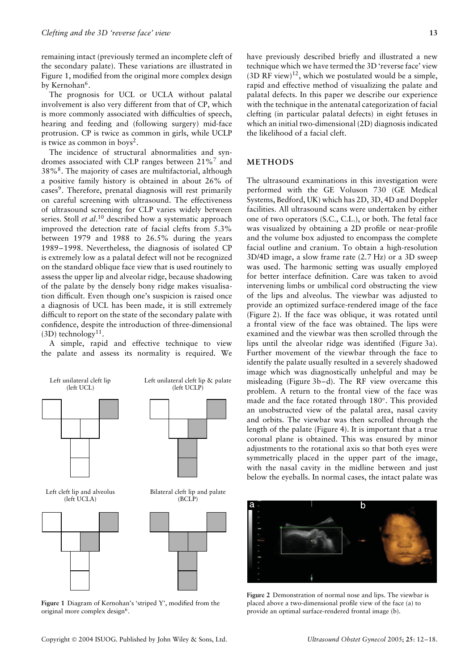remaining intact (previously termed an incomplete cleft of the secondary palate). These variations are illustrated in Figure 1, modified from the original more complex design by Kernohan<sup>6</sup>.

The prognosis for UCL or UCLA without palatal involvement is also very different from that of CP, which is more commonly associated with difficulties of speech, hearing and feeding and (following surgery) mid-face protrusion. CP is twice as common in girls, while UCLP is twice as common in boys<sup>2</sup>.

The incidence of structural abnormalities and syndromes associated with CLP ranges between 21%<sup>7</sup> and 38%8. The majority of cases are multifactorial, although a positive family history is obtained in about 26% of cases<sup>9</sup>. Therefore, prenatal diagnosis will rest primarily on careful screening with ultrasound. The effectiveness of ultrasound screening for CLP varies widely between series. Stoll *et al*. <sup>10</sup> described how a systematic approach improved the detection rate of facial clefts from 5.3% between 1979 and 1988 to 26.5% during the years 1989–1998. Nevertheless, the diagnosis of isolated CP is extremely low as a palatal defect will not be recognized on the standard oblique face view that is used routinely to assess the upper lip and alveolar ridge, because shadowing of the palate by the densely bony ridge makes visualisation difficult. Even though one's suspicion is raised once a diagnosis of UCL has been made, it is still extremely difficult to report on the state of the secondary palate with confidence, despite the introduction of three-dimensional  $(3D)$  technology<sup>11</sup>.

A simple, rapid and effective technique to view the palate and assess its normality is required. We



**Figure 1** Diagram of Kernohan's 'striped Y', modified from the original more complex design<sup>6</sup>.

have previously described briefly and illustrated a new technique which we have termed the 3D 'reverse face' view  $(3D \nightharpoonup R$  view)<sup>12</sup>, which we postulated would be a simple, rapid and effective method of visualizing the palate and palatal defects. In this paper we describe our experience with the technique in the antenatal categorization of facial clefting (in particular palatal defects) in eight fetuses in which an initial two-dimensional (2D) diagnosis indicated the likelihood of a facial cleft.

#### **METHODS**

The ultrasound examinations in this investigation were performed with the GE Voluson 730 (GE Medical Systems, Bedford, UK) which has 2D, 3D, 4D and Doppler facilities. All ultrasound scans were undertaken by either one of two operators (S.C., C.L.), or both. The fetal face was visualized by obtaining a 2D profile or near-profile and the volume box adjusted to encompass the complete facial outline and cranium. To obtain a high-resolution 3D/4D image, a slow frame rate (2.7 Hz) or a 3D sweep was used. The harmonic setting was usually employed for better interface definition. Care was taken to avoid intervening limbs or umbilical cord obstructing the view of the lips and alveolus. The viewbar was adjusted to provide an optimized surface-rendered image of the face (Figure 2). If the face was oblique, it was rotated until a frontal view of the face was obtained. The lips were examined and the viewbar was then scrolled through the lips until the alveolar ridge was identified (Figure 3a). Further movement of the viewbar through the face to identify the palate usually resulted in a severely shadowed image which was diagnostically unhelpful and may be misleading (Figure 3b–d). The RF view overcame this problem. A return to the frontal view of the face was made and the face rotated through 180◦. This provided an unobstructed view of the palatal area, nasal cavity and orbits. The viewbar was then scrolled through the length of the palate (Figure 4). It is important that a true coronal plane is obtained. This was ensured by minor adjustments to the rotational axis so that both eyes were symmetrically placed in the upper part of the image, with the nasal cavity in the midline between and just below the eyeballs. In normal cases, the intact palate was



**Figure 2** Demonstration of normal nose and lips. The viewbar is placed above a two-dimensional profile view of the face (a) to provide an optimal surface-rendered frontal image (b).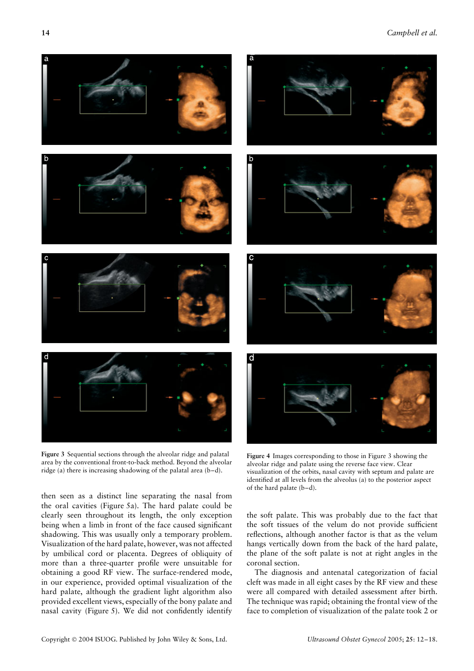

**Figure 3** Sequential sections through the alveolar ridge and palatal area by the conventional front-to-back method. Beyond the alveolar ridge (a) there is increasing shadowing of the palatal area (b–d).

then seen as a distinct line separating the nasal from the oral cavities (Figure 5a). The hard palate could be clearly seen throughout its length, the only exception being when a limb in front of the face caused significant shadowing. This was usually only a temporary problem. Visualization of the hard palate, however, was not affected by umbilical cord or placenta. Degrees of obliquity of more than a three-quarter profile were unsuitable for obtaining a good RF view. The surface-rendered mode, in our experience, provided optimal visualization of the hard palate, although the gradient light algorithm also provided excellent views, especially of the bony palate and nasal cavity (Figure 5). We did not confidently identify

**Figure 4** Images corresponding to those in Figure 3 showing the alveolar ridge and palate using the reverse face view. Clear visualization of the orbits, nasal cavity with septum and palate are identified at all levels from the alveolus (a) to the posterior aspect of the hard palate (b–d).

the soft palate. This was probably due to the fact that the soft tissues of the velum do not provide sufficient reflections, although another factor is that as the velum hangs vertically down from the back of the hard palate, the plane of the soft palate is not at right angles in the coronal section.

The diagnosis and antenatal categorization of facial cleft was made in all eight cases by the RF view and these were all compared with detailed assessment after birth. The technique was rapid; obtaining the frontal view of the face to completion of visualization of the palate took 2 or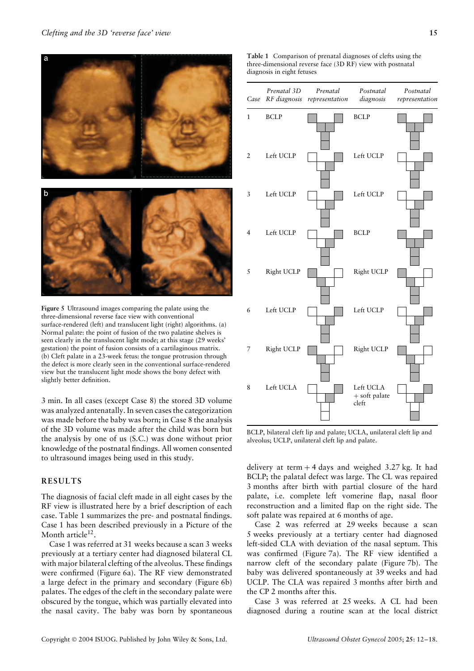

**Figure 5** Ultrasound images comparing the palate using the three-dimensional reverse face view with conventional surface-rendered (left) and translucent light (right) algorithms. (a) Normal palate: the point of fusion of the two palatine shelves is seen clearly in the translucent light mode; at this stage (29 weeks' gestation) the point of fusion consists of a cartilaginous matrix. (b) Cleft palate in a 23-week fetus: the tongue protrusion through the defect is more clearly seen in the conventional surface-rendered view but the translucent light mode shows the bony defect with slightly better definition.

3 min. In all cases (except Case 8) the stored 3D volume was analyzed antenatally. In seven cases the categorization was made before the baby was born; in Case 8 the analysis of the 3D volume was made after the child was born but the analysis by one of us (S.C.) was done without prior knowledge of the postnatal findings. All women consented to ultrasound images being used in this study.

#### **RESULTS**

The diagnosis of facial cleft made in all eight cases by the RF view is illustrated here by a brief description of each case. Table 1 summarizes the pre- and postnatal findings. Case 1 has been described previously in a Picture of the Month article $^{12}$ .

Case 1 was referred at 31 weeks because a scan 3 weeks previously at a tertiary center had diagnosed bilateral CL with major bilateral clefting of the alveolus. These findings were confirmed (Figure 6a). The RF view demonstrated a large defect in the primary and secondary (Figure 6b) palates. The edges of the cleft in the secondary palate were obscured by the tongue, which was partially elevated into the nasal cavity. The baby was born by spontaneous





BCLP, bilateral cleft lip and palate; UCLA, unilateral cleft lip and alveolus; UCLP, unilateral cleft lip and palate.

delivery at term  $+ 4$  days and weighed 3.27 kg. It had BCLP; the palatal defect was large. The CL was repaired 3 months after birth with partial closure of the hard palate, i.e. complete left vomerine flap, nasal floor reconstruction and a limited flap on the right side. The soft palate was repaired at 6 months of age.

Case 2 was referred at 29 weeks because a scan 5 weeks previously at a tertiary center had diagnosed left-sided CLA with deviation of the nasal septum. This was confirmed (Figure 7a). The RF view identified a narrow cleft of the secondary palate (Figure 7b). The baby was delivered spontaneously at 39 weeks and had UCLP. The CLA was repaired 3 months after birth and the CP 2 months after this.

Case 3 was referred at 25 weeks. A CL had been diagnosed during a routine scan at the local district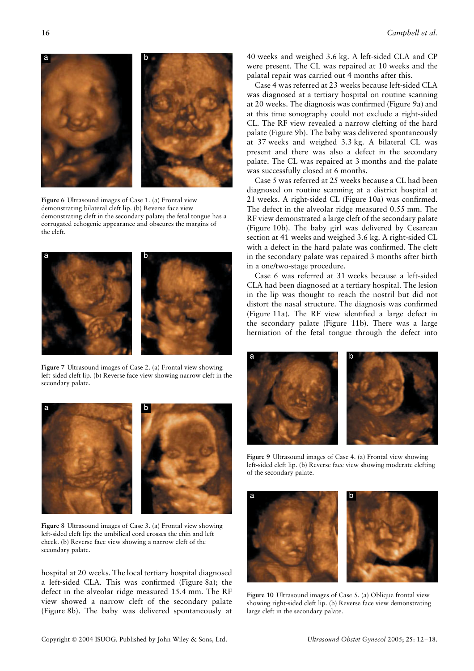

**Figure 6** Ultrasound images of Case 1. (a) Frontal view demonstrating bilateral cleft lip. (b) Reverse face view demonstrating cleft in the secondary palate; the fetal tongue has a corrugated echogenic appearance and obscures the margins of the cleft.



**Figure 7** Ultrasound images of Case 2. (a) Frontal view showing left-sided cleft lip. (b) Reverse face view showing narrow cleft in the secondary palate.



**Figure 8** Ultrasound images of Case 3. (a) Frontal view showing left-sided cleft lip; the umbilical cord crosses the chin and left cheek. (b) Reverse face view showing a narrow cleft of the secondary palate.

hospital at 20 weeks. The local tertiary hospital diagnosed a left-sided CLA. This was confirmed (Figure 8a); the defect in the alveolar ridge measured 15.4 mm. The RF view showed a narrow cleft of the secondary palate (Figure 8b). The baby was delivered spontaneously at 40 weeks and weighed 3.6 kg. A left-sided CLA and CP were present. The CL was repaired at 10 weeks and the palatal repair was carried out 4 months after this.

Case 4 was referred at 23 weeks because left-sided CLA was diagnosed at a tertiary hospital on routine scanning at 20 weeks. The diagnosis was confirmed (Figure 9a) and at this time sonography could not exclude a right-sided CL. The RF view revealed a narrow clefting of the hard palate (Figure 9b). The baby was delivered spontaneously at 37 weeks and weighed 3.3 kg. A bilateral CL was present and there was also a defect in the secondary palate. The CL was repaired at 3 months and the palate was successfully closed at 6 months.

Case 5 was referred at 25 weeks because a CL had been diagnosed on routine scanning at a district hospital at 21 weeks. A right-sided CL (Figure 10a) was confirmed. The defect in the alveolar ridge measured 0.55 mm. The RF view demonstrated a large cleft of the secondary palate (Figure 10b). The baby girl was delivered by Cesarean section at 41 weeks and weighed 3.6 kg. A right-sided CL with a defect in the hard palate was confirmed. The cleft in the secondary palate was repaired 3 months after birth in a one/two-stage procedure.

Case 6 was referred at 31 weeks because a left-sided CLA had been diagnosed at a tertiary hospital. The lesion in the lip was thought to reach the nostril but did not distort the nasal structure. The diagnosis was confirmed (Figure 11a). The RF view identified a large defect in the secondary palate (Figure 11b). There was a large herniation of the fetal tongue through the defect into



**Figure 9** Ultrasound images of Case 4. (a) Frontal view showing left-sided cleft lip. (b) Reverse face view showing moderate clefting of the secondary palate.



**Figure 10** Ultrasound images of Case 5. (a) Oblique frontal view showing right-sided cleft lip. (b) Reverse face view demonstrating large cleft in the secondary palate.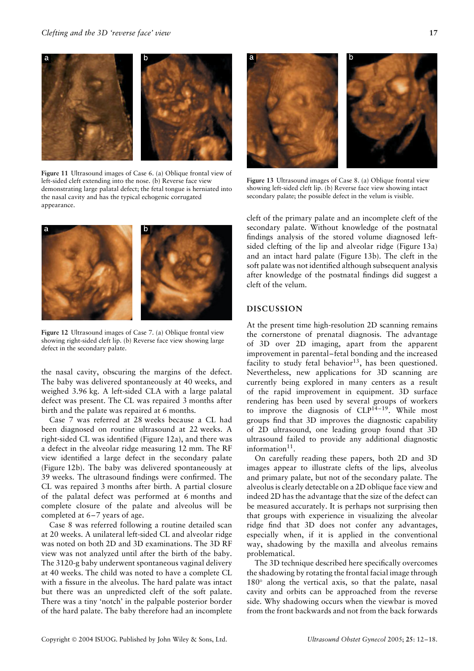

**Figure 11** Ultrasound images of Case 6. (a) Oblique frontal view of left-sided cleft extending into the nose. (b) Reverse face view demonstrating large palatal defect; the fetal tongue is herniated into the nasal cavity and has the typical echogenic corrugated appearance.



**Figure 12** Ultrasound images of Case 7. (a) Oblique frontal view showing right-sided cleft lip. (b) Reverse face view showing large defect in the secondary palate.

the nasal cavity, obscuring the margins of the defect. The baby was delivered spontaneously at 40 weeks, and weighed 3.96 kg. A left-sided CLA with a large palatal defect was present. The CL was repaired 3 months after birth and the palate was repaired at 6 months.

Case 7 was referred at 28 weeks because a CL had been diagnosed on routine ultrasound at 22 weeks. A right-sided CL was identified (Figure 12a), and there was a defect in the alveolar ridge measuring 12 mm. The RF view identified a large defect in the secondary palate (Figure 12b). The baby was delivered spontaneously at 39 weeks. The ultrasound findings were confirmed. The CL was repaired 3 months after birth. A partial closure of the palatal defect was performed at 6 months and complete closure of the palate and alveolus will be completed at 6–7 years of age.

Case 8 was referred following a routine detailed scan at 20 weeks. A unilateral left-sided CL and alveolar ridge was noted on both 2D and 3D examinations. The 3D RF view was not analyzed until after the birth of the baby. The 3120-g baby underwent spontaneous vaginal delivery at 40 weeks. The child was noted to have a complete CL with a fissure in the alveolus. The hard palate was intact but there was an unpredicted cleft of the soft palate. There was a tiny 'notch' in the palpable posterior border of the hard palate. The baby therefore had an incomplete



**Figure 13** Ultrasound images of Case 8. (a) Oblique frontal view showing left-sided cleft lip. (b) Reverse face view showing intact secondary palate; the possible defect in the velum is visible.

cleft of the primary palate and an incomplete cleft of the secondary palate. Without knowledge of the postnatal findings analysis of the stored volume diagnosed leftsided clefting of the lip and alveolar ridge (Figure 13a) and an intact hard palate (Figure 13b). The cleft in the soft palate was not identified although subsequent analysis after knowledge of the postnatal findings did suggest a cleft of the velum.

#### **DISCUSSION**

At the present time high-resolution 2D scanning remains the cornerstone of prenatal diagnosis. The advantage of 3D over 2D imaging, apart from the apparent improvement in parental–fetal bonding and the increased facility to study fetal behavior<sup>13</sup>, has been questioned. Nevertheless, new applications for 3D scanning are currently being explored in many centers as a result of the rapid improvement in equipment. 3D surface rendering has been used by several groups of workers to improve the diagnosis of  $CLP^{14-19}$ . While most groups find that 3D improves the diagnostic capability of 2D ultrasound, one leading group found that 3D ultrasound failed to provide any additional diagnostic information $11$ .

On carefully reading these papers, both 2D and 3D images appear to illustrate clefts of the lips, alveolus and primary palate, but not of the secondary palate. The alveolus is clearly detectable on a 2D oblique face view and indeed 2D has the advantage that the size of the defect can be measured accurately. It is perhaps not surprising then that groups with experience in visualizing the alveolar ridge find that 3D does not confer any advantages, especially when, if it is applied in the conventional way, shadowing by the maxilla and alveolus remains problematical.

The 3D technique described here specifically overcomes the shadowing by rotating the frontal facial image through 180◦ along the vertical axis, so that the palate, nasal cavity and orbits can be approached from the reverse side. Why shadowing occurs when the viewbar is moved from the front backwards and not from the back forwards